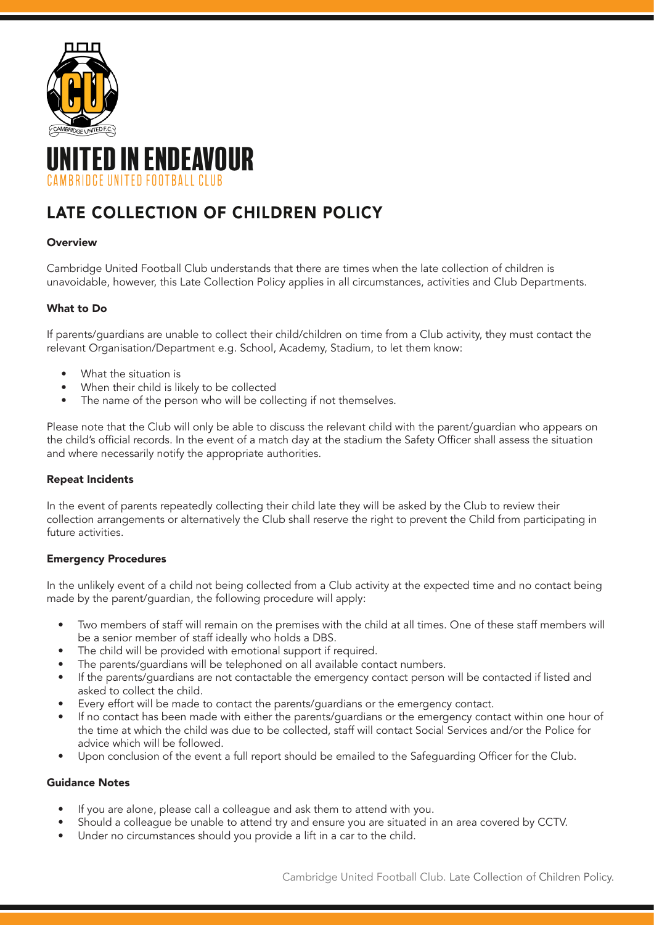

# ITED IN ENDEAVOUR IRRIDCE UNITED FOOTRALL CLUR

## LATE COLLECTION OF CHILDREN POLICY

#### **Overview**

Cambridge United Football Club understands that there are times when the late collection of children is unavoidable, however, this Late Collection Policy applies in all circumstances, activities and Club Departments.

### What to Do

If parents/guardians are unable to collect their child/children on time from a Club activity, they must contact the relevant Organisation/Department e.g. School, Academy, Stadium, to let them know:

- What the situation is
- When their child is likely to be collected
- The name of the person who will be collecting if not themselves.

Please note that the Club will only be able to discuss the relevant child with the parent/guardian who appears on the child's official records. In the event of a match day at the stadium the Safety Officer shall assess the situation and where necessarily notify the appropriate authorities.

#### Repeat Incidents

In the event of parents repeatedly collecting their child late they will be asked by the Club to review their collection arrangements or alternatively the Club shall reserve the right to prevent the Child from participating in future activities.

#### Emergency Procedures

In the unlikely event of a child not being collected from a Club activity at the expected time and no contact being made by the parent/guardian, the following procedure will apply:

- Two members of staff will remain on the premises with the child at all times. One of these staff members will be a senior member of staff ideally who holds a DBS.
- The child will be provided with emotional support if required.
- The parents/guardians will be telephoned on all available contact numbers.
- If the parents/guardians are not contactable the emergency contact person will be contacted if listed and asked to collect the child.
- Every effort will be made to contact the parents/guardians or the emergency contact.
- If no contact has been made with either the parents/guardians or the emergency contact within one hour of the time at which the child was due to be collected, staff will contact Social Services and/or the Police for advice which will be followed.
- Upon conclusion of the event a full report should be emailed to the Safeguarding Officer for the Club.

#### Guidance Notes

- If you are alone, please call a colleague and ask them to attend with you.
- Should a colleague be unable to attend try and ensure you are situated in an area covered by CCTV.
- Under no circumstances should you provide a lift in a car to the child.